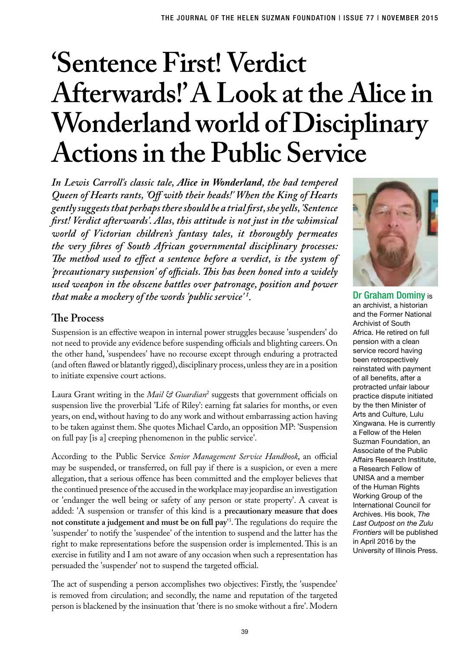# **'Sentence First! Verdict Afterwards!' A Look at the Alice in Wonderland world of Disciplinary Actions in the Public Service**

*In Lewis Carroll's classic tale, Alice in Wonderland, the bad tempered Queen of Hearts rants, 'Off with their heads!' When the King of Hearts gently suggests that perhaps there should be a trial first, she yells, 'Sentence first! Verdict afterwards'. Alas, this attitude is not just in the whimsical world of Victorian children's fantasy tales, it thoroughly permeates the very fibres of South African governmental disciplinary processes: The method used to effect a sentence before a verdict, is the system of 'precautionary suspension' of officials. This has been honed into a widely used weapon in the obscene battles over patronage, position and power that make a mockery of the words 'public service' 1 .*

## **The Process**

Suspension is an effective weapon in internal power struggles because 'suspenders' do not need to provide any evidence before suspending officials and blighting careers. On the other hand, 'suspendees' have no recourse except through enduring a protracted (and often flawed or blatantly rigged), disciplinary process, unless they are in a position to initiate expensive court actions.

Laura Grant writing in the *Mail & Guardian*<sup>2</sup> suggests that government officials on suspension live the proverbial 'Life of Riley': earning fat salaries for months, or even years, on end, without having to do any work and without embarrassing action having to be taken against them. She quotes Michael Cardo, an opposition MP: 'Suspension on full pay [is a] creeping phenomenon in the public service'.

According to the Public Service *Senior Management Service Handbook*, an official may be suspended, or transferred, on full pay if there is a suspicion, or even a mere allegation, that a serious offence has been committed and the employer believes that the continued presence of the accused in the workplace may jeopardise an investigation or 'endanger the well being or safety of any person or state property'. A caveat is added: 'A suspension or transfer of this kind is a **precautionary measure that does not constitute a judgement and must be on full pay**' 3 . The regulations do require the 'suspender' to notify the 'suspendee' of the intention to suspend and the latter has the right to make representations before the suspension order is implemented. This is an exercise in futility and I am not aware of any occasion when such a representation has persuaded the 'suspender' not to suspend the targeted official.

The act of suspending a person accomplishes two objectives: Firstly, the 'suspendee' is removed from circulation; and secondly, the name and reputation of the targeted person is blackened by the insinuation that 'there is no smoke without a fire'. Modern



Dr Graham Dominy is an archivist, a historian and the Former National Archivist of South Africa. He retired on full pension with a clean service record having been retrospectively reinstated with payment of all benefits, after a protracted unfair labour practice dispute initiated by the then Minister of Arts and Culture, Lulu Xingwana. He is currently a Fellow of the Helen Suzman Foundation, an Associate of the Public Affairs Research Institute, a Research Fellow of UNISA and a member of the Human Rights Working Group of the International Council for Archives. His book, *The Last Outpost on the Zulu Frontiers* will be published in April 2016 by the University of Illinois Press.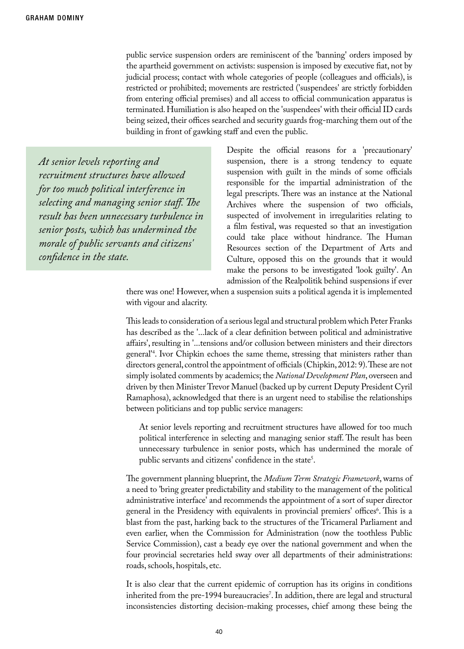public service suspension orders are reminiscent of the 'banning' orders imposed by the apartheid government on activists: suspension is imposed by executive fiat, not by judicial process; contact with whole categories of people (colleagues and officials), is restricted or prohibited; movements are restricted ('suspendees' are strictly forbidden from entering official premises) and all access to official communication apparatus is terminated. Humiliation is also heaped on the 'suspendees' with their official ID cards being seized, their offices searched and security guards frog-marching them out of the building in front of gawking staff and even the public.

*At senior levels reporting and recruitment structures have allowed for too much political interference in selecting and managing senior staff. The result has been unnecessary turbulence in senior posts, which has undermined the morale of public servants and citizens' confidence in the state.*

Despite the official reasons for a 'precautionary' suspension, there is a strong tendency to equate suspension with guilt in the minds of some officials responsible for the impartial administration of the legal prescripts. There was an instance at the National Archives where the suspension of two officials, suspected of involvement in irregularities relating to a film festival, was requested so that an investigation could take place without hindrance. The Human Resources section of the Department of Arts and Culture, opposed this on the grounds that it would make the persons to be investigated 'look guilty'. An admission of the Realpolitik behind suspensions if ever

there was one! However, when a suspension suits a political agenda it is implemented with vigour and alacrity.

This leads to consideration of a serious legal and structural problem which Peter Franks has described as the '...lack of a clear definition between political and administrative affairs', resulting in '...tensions and/or collusion between ministers and their directors general'4 . Ivor Chipkin echoes the same theme, stressing that ministers rather than directors general, control the appointment of officials (Chipkin, 2012: 9). These are not simply isolated comments by academics; the *National Development Plan*, overseen and driven by then Minister Trevor Manuel (backed up by current Deputy President Cyril Ramaphosa), acknowledged that there is an urgent need to stabilise the relationships between politicians and top public service managers:

At senior levels reporting and recruitment structures have allowed for too much political interference in selecting and managing senior staff. The result has been unnecessary turbulence in senior posts, which has undermined the morale of public servants and citizens' confidence in the state<sup>5</sup>.

The government planning blueprint, the *Medium Term Strategic Framework*, warns of a need to 'bring greater predictability and stability to the management of the political administrative interface' and recommends the appointment of a sort of super director general in the Presidency with equivalents in provincial premiers' offices<sup>6</sup>. This is a blast from the past, harking back to the structures of the Tricameral Parliament and even earlier, when the Commission for Administration (now the toothless Public Service Commission), cast a beady eye over the national government and when the four provincial secretaries held sway over all departments of their administrations: roads, schools, hospitals, etc.

It is also clear that the current epidemic of corruption has its origins in conditions inherited from the pre-1994 bureaucracies7 . In addition, there are legal and structural inconsistencies distorting decision-making processes, chief among these being the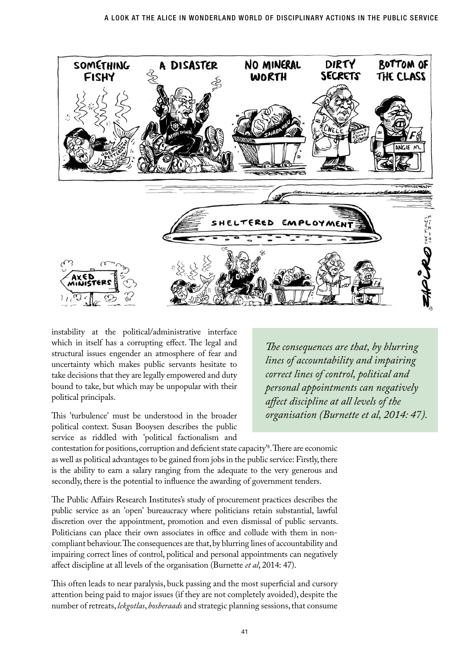

instability at the political/administrative interface which in itself has a corrupting effect. The legal and structural issues engender an atmosphere of fear and uncertainty which makes public servants hesitate to take decisions that they are legally empowered and duty bound to take, but which may be unpopular with their political principals.

This 'turbulence' must be understood in the broader political context. Susan Booysen describes the public service as riddled with 'political factionalism and

*The consequences are that, by blurring lines of accountability and impairing correct lines of control, political and personal appointments can negatively affect discipline at all levels of the organisation (Burnette et al, 2014: 47).*

contestation for positions, corruption and deficient state capacity'8 . There are economic as well as political advantages to be gained from jobs in the public service: Firstly, there is the ability to earn a salary ranging from the adequate to the very generous and secondly, there is the potential to influence the awarding of government tenders.

The Public Affairs Research Institutes's study of procurement practices describes the public service as an 'open' bureaucracy where politicians retain substantial, lawful discretion over the appointment, promotion and even dismissal of public servants. Politicians can place their own associates in office and collude with them in noncompliant behaviour. The consequences are that, by blurring lines of accountability and impairing correct lines of control, political and personal appointments can negatively affect discipline at all levels of the organisation (Burnette *et al*, 2014: 47).

This often leads to near paralysis, buck passing and the most superficial and cursory attention being paid to major issues (if they are not completely avoided), despite the number of retreats, *lekgotlas*, *bosberaads* and strategic planning sessions, that consume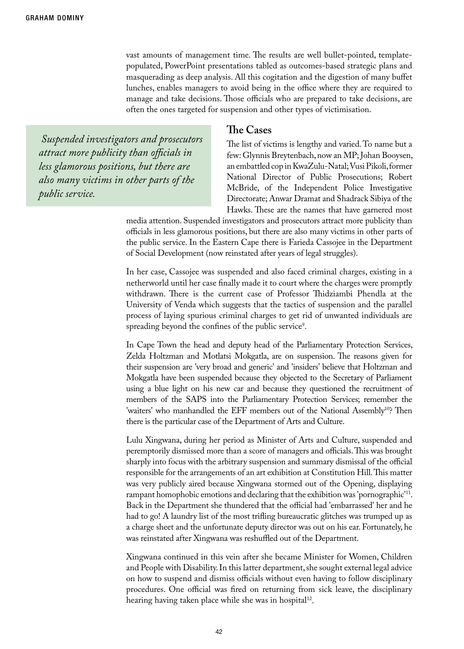vast amounts of management time. The results are well bullet-pointed, templatepopulated, PowerPoint presentations tabled as outcomes-based strategic plans and masquerading as deep analysis. All this cogitation and the digestion of many buffet lunches, enables managers to avoid being in the office where they are required to manage and take decisions. Those officials who are prepared to take decisions, are often the ones targeted for suspension and other types of victimisation.

 *Suspended investigators and prosecutors attract more publicity than officials in less glamorous positions, but there are also many victims in other parts of the public service.*

#### **The Cases**

The list of victims is lengthy and varied. To name but a few: Glynnis Breytenbach, now an MP; Johan Booysen, an embattled cop in KwaZulu-Natal; Vusi Pikoli, former National Director of Public Prosecutions; Robert McBride, of the Independent Police Investigative Directorate; Anwar Dramat and Shadrack Sibiya of the Hawks. These are the names that have garnered most

media attention. Suspended investigators and prosecutors attract more publicity than officials in less glamorous positions, but there are also many victims in other parts of the public service. In the Eastern Cape there is Farieda Cassojee in the Department of Social Development (now reinstated after years of legal struggles).

In her case, Cassojee was suspended and also faced criminal charges, existing in a netherworld until her case finally made it to court where the charges were promptly withdrawn. There is the current case of Professor Thidziambi Phendla at the University of Venda which suggests that the tactics of suspension and the parallel process of laying spurious criminal charges to get rid of unwanted individuals are spreading beyond the confines of the public service<sup>9</sup>.

In Cape Town the head and deputy head of the Parliamentary Protection Services, Zelda Holtzman and Motlatsi Mokgatla, are on suspension. The reasons given for their suspension are 'very broad and generic' and 'insiders' believe that Holtzman and Mokgatla have been suspended because they objected to the Secretary of Parliament using a blue light on his new car and because they questioned the recruitment of members of the SAPS into the Parliamentary Protection Services; remember the 'waiters' who manhandled the EFF members out of the National Assembly<sup>10</sup>? Then there is the particular case of the Department of Arts and Culture.

Lulu Xingwana, during her period as Minister of Arts and Culture, suspended and peremptorily dismissed more than a score of managers and officials. This was brought sharply into focus with the arbitrary suspension and summary dismissal of the official responsible for the arrangements of an art exhibition at Constitution Hill. This matter was very publicly aired because Xingwana stormed out of the Opening, displaying rampant homophobic emotions and declaring that the exhibition was 'pornographic<sup>'11</sup>. Back in the Department she thundered that the official had 'embarrassed' her and he had to go! A laundry list of the most trifling bureaucratic glitches was trumped up as a charge sheet and the unfortunate deputy director was out on his ear. Fortunately, he was reinstated after Xingwana was reshuffled out of the Department.

Xingwana continued in this vein after she became Minister for Women, Children and People with Disability. In this latter department, she sought external legal advice on how to suspend and dismiss officials without even having to follow disciplinary procedures. One official was fired on returning from sick leave, the disciplinary hearing having taken place while she was in hospital<sup>12</sup>.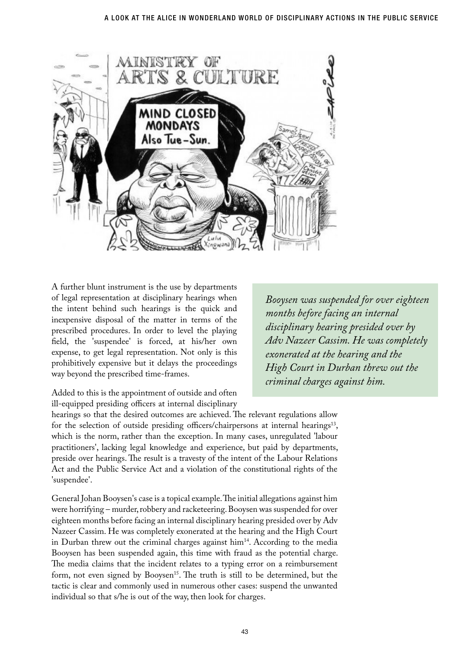

A further blunt instrument is the use by departments of legal representation at disciplinary hearings when the intent behind such hearings is the quick and inexpensive disposal of the matter in terms of the prescribed procedures. In order to level the playing field, the 'suspendee' is forced, at his/her own expense, to get legal representation. Not only is this prohibitively expensive but it delays the proceedings way beyond the prescribed time-frames.

Added to this is the appointment of outside and often ill-equipped presiding officers at internal disciplinary

hearings so that the desired outcomes are achieved. The relevant regulations allow for the selection of outside presiding officers/chairpersons at internal hearings<sup>13</sup>, which is the norm, rather than the exception. In many cases, unregulated 'labour practitioners', lacking legal knowledge and experience, but paid by departments, preside over hearings. The result is a travesty of the intent of the Labour Relations Act and the Public Service Act and a violation of the constitutional rights of the 'suspendee'.

General Johan Booysen's case is a topical example. The initial allegations against him were horrifying – murder, robbery and racketeering. Booysen was suspended for over eighteen months before facing an internal disciplinary hearing presided over by Adv Nazeer Cassim. He was completely exonerated at the hearing and the High Court in Durban threw out the criminal charges against  $\text{him}^{14}$ . According to the media Booysen has been suspended again, this time with fraud as the potential charge. The media claims that the incident relates to a typing error on a reimbursement form, not even signed by Booysen<sup>15</sup>. The truth is still to be determined, but the tactic is clear and commonly used in numerous other cases: suspend the unwanted individual so that s/he is out of the way, then look for charges.

*Booysen was suspended for over eighteen months before facing an internal disciplinary hearing presided over by Adv Nazeer Cassim. He was completely exonerated at the hearing and the High Court in Durban threw out the criminal charges against him.*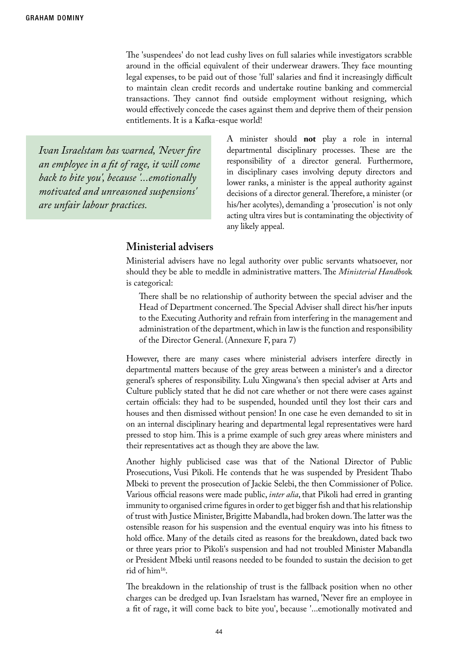The 'suspendees' do not lead cushy lives on full salaries while investigators scrabble around in the official equivalent of their underwear drawers. They face mounting legal expenses, to be paid out of those 'full' salaries and find it increasingly difficult to maintain clean credit records and undertake routine banking and commercial transactions. They cannot find outside employment without resigning, which would effectively concede the cases against them and deprive them of their pension entitlements. It is a Kafka-esque world!

*Ivan Israelstam has warned, 'Never fire an employee in a fit of rage, it will come back to bite you', because '...emotionally motivated and unreasoned suspensions' are unfair labour practices.*

A minister should **not** play a role in internal departmental disciplinary processes. These are the responsibility of a director general. Furthermore, in disciplinary cases involving deputy directors and lower ranks, a minister is the appeal authority against decisions of a director general. Therefore, a minister (or his/her acolytes), demanding a 'prosecution' is not only acting ultra vires but is contaminating the objectivity of any likely appeal.

#### **Ministerial advisers**

Ministerial advisers have no legal authority over public servants whatsoever, nor should they be able to meddle in administrative matters. The *Ministerial Handboo*k is categorical:

There shall be no relationship of authority between the special adviser and the Head of Department concerned. The Special Adviser shall direct his/her inputs to the Executing Authority and refrain from interfering in the management and administration of the department, which in law is the function and responsibility of the Director General. (Annexure F, para 7)

However, there are many cases where ministerial advisers interfere directly in departmental matters because of the grey areas between a minister's and a director general's spheres of responsibility. Lulu Xingwana's then special adviser at Arts and Culture publicly stated that he did not care whether or not there were cases against certain officials: they had to be suspended, hounded until they lost their cars and houses and then dismissed without pension! In one case he even demanded to sit in on an internal disciplinary hearing and departmental legal representatives were hard pressed to stop him. This is a prime example of such grey areas where ministers and their representatives act as though they are above the law.

Another highly publicised case was that of the National Director of Public Prosecutions, Vusi Pikoli. He contends that he was suspended by President Thabo Mbeki to prevent the prosecution of Jackie Selebi, the then Commissioner of Police. Various official reasons were made public, *inter alia*, that Pikoli had erred in granting immunity to organised crime figures in order to get bigger fish and that his relationship of trust with Justice Minister, Brigitte Mabandla, had broken down. The latter was the ostensible reason for his suspension and the eventual enquiry was into his fitness to hold office. Many of the details cited as reasons for the breakdown, dated back two or three years prior to Pikoli's suspension and had not troubled Minister Mabandla or President Mbeki until reasons needed to be founded to sustain the decision to get rid of him16.

The breakdown in the relationship of trust is the fallback position when no other charges can be dredged up. Ivan Israelstam has warned, 'Never fire an employee in a fit of rage, it will come back to bite you', because '...emotionally motivated and